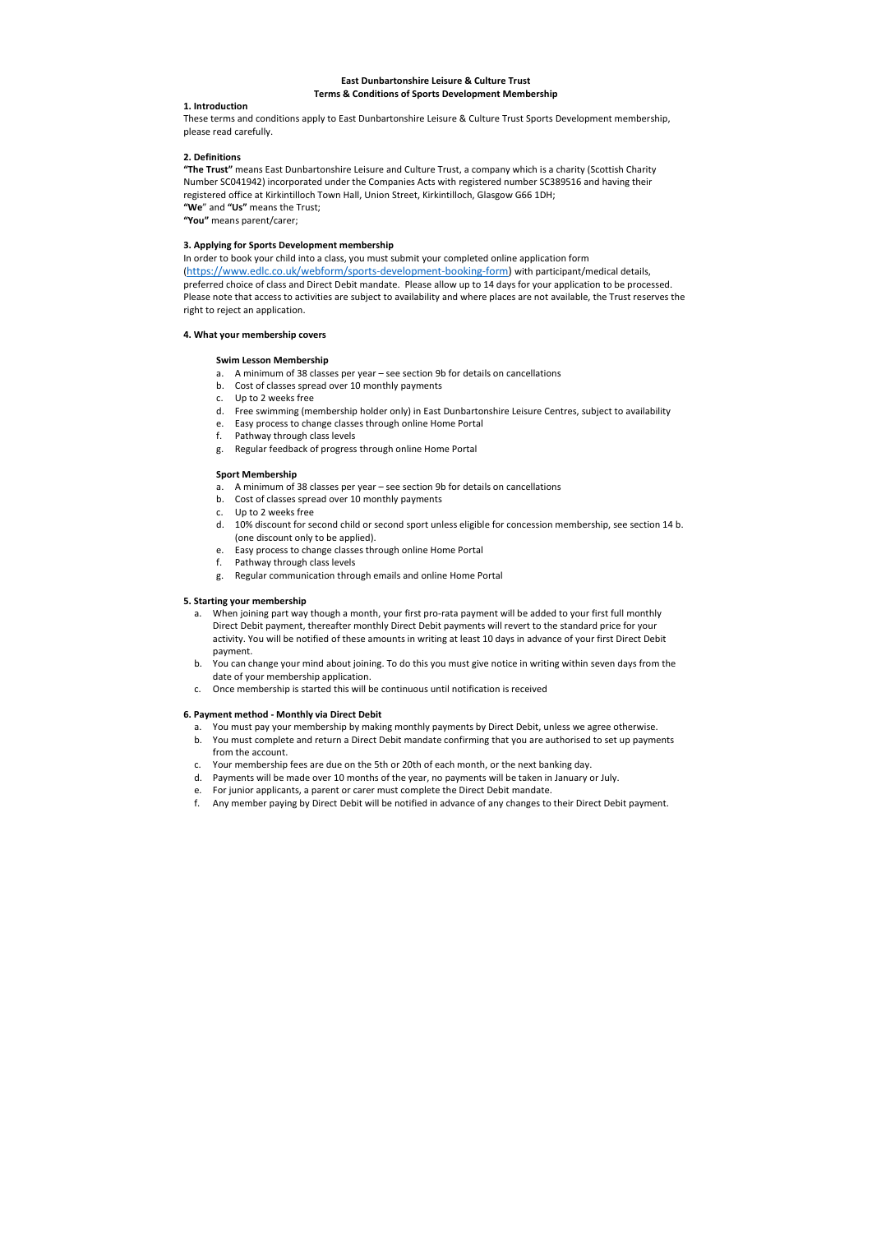# East Dunbartonshire Leisure & Culture Trust Terms & Conditions of Sports Development Membership

 These terms and conditions apply to East Dunbartonshire Leisure & Culture Trust Sports Development membership, please read carefully.

# 2. Definitions

"The Trust" means East Dunbartonshire Leisure and Culture Trust, a company which is a charity (Scottish Charity Number SC041942) incorporated under the Companies Acts with registered number SC389516 and having their registered office at Kirkintilloch Town Hall, Union Street, Kirkintilloch, Glasgow G66 1DH; "We" and "Us" means the Trust;

"You" means parent/carer;

### 1. Introduction

### 3. Applying for Sports Development membership

 In order to book your child into a class, you must submit your completed online application form (https://www.edlc.co.uk/webform/sports-development-booking-form) with participant/medical details, preferred choice of class and Direct Debit mandate. Please allow up to 14 days for your application to be processed. Please note that access to activities are subject to availability and where places are not available, the Trust reserves the right to reject an application.

### 4. What your membership covers

### Swim Lesson Membership

- a. A minimum of 38 classes per year see section 9b for details on cancellations
- b. Cost of classes spread over 10 monthly payments
- c. Up to 2 weeks free
- d. Free swimming (membership holder only) in East Dunbartonshire Leisure Centres, subject to availability
- e. Easy process to change classes through online Home Portal
- f. Pathway through class levels
- g. Regular feedback of progress through online Home Portal

#### 5. Starting your membership

- a. When joining part way though a month, your first pro-rata payment will be added to your first full monthly Direct Debit payment, thereafter monthly Direct Debit payments will revert to the standard price for your activity. You will be notified of these amounts in writing at least 10 days in advance of your first Direct Debit payment.
- b. You can change your mind about joining. To do this you must give notice in writing within seven days from the date of your membership application.
- c. Once membership is started this will be continuous until notification is received

#### 6. Payment method - Monthly via Direct Debit

- a. You must pay your membership by making monthly payments by Direct Debit, unless we agree otherwise.
- b. You must complete and return a Direct Debit mandate confirming that you are authorised to set up payments from the account.
- c. Your membership fees are due on the 5th or 20th of each month, or the next banking day.
- d. Payments will be made over 10 months of the year, no payments will be taken in January or July.
- e. For junior applicants, a parent or carer must complete the Direct Debit mandate.
- f. Any member paying by Direct Debit will be notified in advance of any changes to their Direct Debit payment.

### Sport Membership

- a. A minimum of 38 classes per year see section 9b for details on cancellations
- b. Cost of classes spread over 10 monthly payments
- c. Up to 2 weeks free
- d. 10% discount for second child or second sport unless eligible for concession membership, see section 14 b. (one discount only to be applied).
- e. Easy process to change classes through online Home Portal
- f. Pathway through class levels
- g. Regular communication through emails and online Home Portal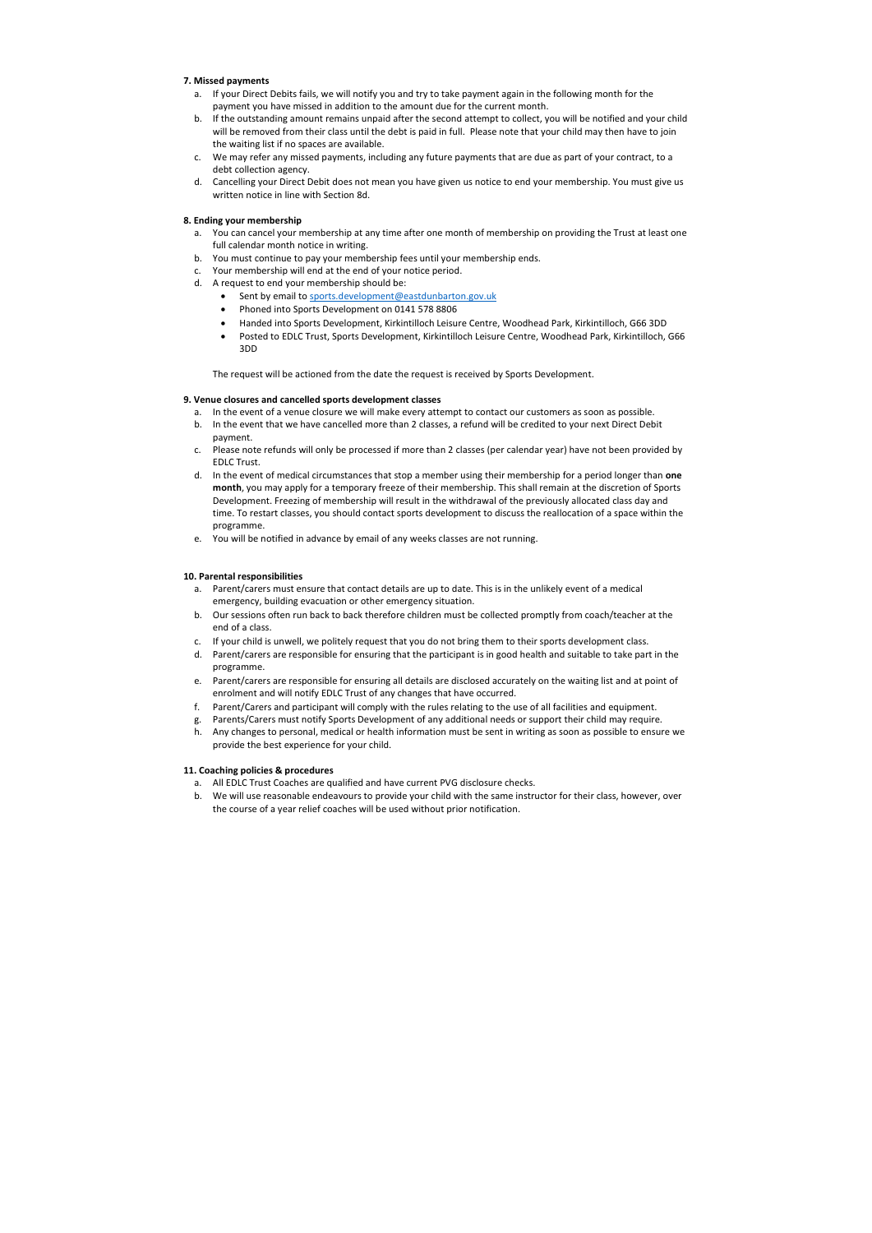# 7. Missed payments

- a. If your Direct Debits fails, we will notify you and try to take payment again in the following month for the payment you have missed in addition to the amount due for the current month.
- b. If the outstanding amount remains unpaid after the second attempt to collect, you will be notified and your child will be removed from their class until the debt is paid in full. Please note that your child may then have to join the waiting list if no spaces are available.
- c. We may refer any missed payments, including any future payments that are due as part of your contract, to a debt collection agency.
- d. Cancelling your Direct Debit does not mean you have given us notice to end your membership. You must give us written notice in line with Section 8d.

## 8. Ending your membership

- a. You can cancel your membership at any time after one month of membership on providing the Trust at least one full calendar month notice in writing.
- b. You must continue to pay your membership fees until your membership ends.
- c. Your membership will end at the end of your notice period.
- d. A request to end your membership should be:
	- **Sent by email to sports.development@eastdunbarton.gov.uk**
	- Phoned into Sports Development on 0141 578 8806
	- Handed into Sports Development, Kirkintilloch Leisure Centre, Woodhead Park, Kirkintilloch, G66 3DD
	- Posted to EDLC Trust, Sports Development, Kirkintilloch Leisure Centre, Woodhead Park, Kirkintilloch, G66 3DD

The request will be actioned from the date the request is received by Sports Development.

### 9. Venue closures and cancelled sports development classes

- a. In the event of a venue closure we will make every attempt to contact our customers as soon as possible.
- b. In the event that we have cancelled more than 2 classes, a refund will be credited to your next Direct Debit payment.
- c. Please note refunds will only be processed if more than 2 classes (per calendar year) have not been provided by EDLC Trust.
- d. In the event of medical circumstances that stop a member using their membership for a period longer than one month, you may apply for a temporary freeze of their membership. This shall remain at the discretion of Sports Development. Freezing of membership will result in the withdrawal of the previously allocated class day and time. To restart classes, you should contact sports development to discuss the reallocation of a space within the programme.
- programme.<br>e. You will be notified in advance by email of any weeks classes are not running.

### 10. Parental responsibilities

- a. Parent/carers must ensure that contact details are up to date. This is in the unlikely event of a medical emergency, building evacuation or other emergency situation.
- b. Our sessions often run back to back therefore children must be collected promptly from coach/teacher at the end of a class.
- c. If your child is unwell, we politely request that you do not bring them to their sports development class.
- d. Parent/carers are responsible for ensuring that the participant is in good health and suitable to take part in the programme.
- programme.<br>e. Parent/carers are responsible for ensuring all details are disclosed accurately on the waiting list and at point of enrolment and will notify EDLC Trust of any changes that have occurred.
- f. Parent/Carers and participant will comply with the rules relating to the use of all facilities and equipment.
- g. Parents/Carers must notify Sports Development of any additional needs or support their child may require.
- h. Any changes to personal, medical or health information must be sent in writing as soon as possible to ensure we provide the best experience for your child.

#### 11. Coaching policies & procedures

- a. All EDLC Trust Coaches are qualified and have current PVG disclosure checks.
- b. We will use reasonable endeavours to provide your child with the same instructor for their class, however, over the course of a year relief coaches will be used without prior notification.